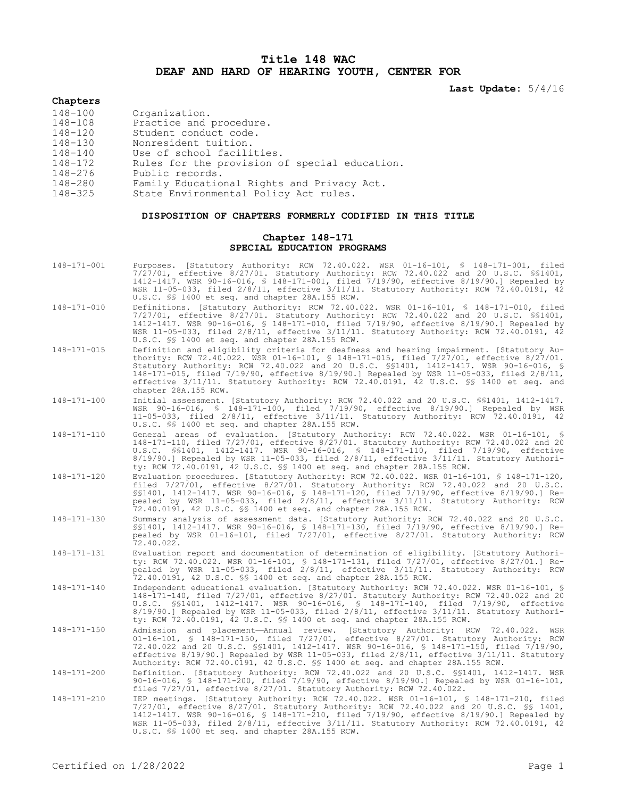## **Title 148 WAC DEAF AND HARD OF HEARING YOUTH, CENTER FOR**

**Last Update:** 5/4/16

## **Chapters**

| 148-100 | Organization.                                 |
|---------|-----------------------------------------------|
| 148-108 | Practice and procedure.                       |
| 148-120 | Student conduct code.                         |
| 148-130 | Nonresident tuition.                          |
| 148-140 | Use of school facilities.                     |
| 148-172 | Rules for the provision of special education. |
| 148-276 | Public records.                               |
| 148-280 | Family Educational Rights and Privacy Act.    |
| 148-325 | State Environmental Policy Act rules.         |

## **DISPOSITION OF CHAPTERS FORMERLY CODIFIED IN THIS TITLE**

## **Chapter 148-171 SPECIAL EDUCATION PROGRAMS**

| 148-171-001 | Purposes. [Statutory Authority: RCW 72.40.022. WSR 01-16-101, § 148-171-001, filed<br>$7/27/01$ , effective $8/27/01$ . Statutory Authority: RCW 72.40.022 and 20 U.S.C. \$\$1401,<br>1412-1417. WSR 90-16-016, § 148-171-001, filed 7/19/90, effective 8/19/90.] Repealed by<br>WSR 11-05-033, filed 2/8/11, effective 3/11/11. Statutory Authority: RCW 72.40.0191, 42<br>U.S.C. §§ 1400 et seq. and chapter 28A.155 RCW.                                                                        |
|-------------|----------------------------------------------------------------------------------------------------------------------------------------------------------------------------------------------------------------------------------------------------------------------------------------------------------------------------------------------------------------------------------------------------------------------------------------------------------------------------------------------------|
| 148-171-010 | Definitions. [Statutory Authority: RCW 72.40.022. WSR 01-16-101, § 148-171-010, filed<br>$7/27/01$ , effective $8/27/01$ . Statutory Authority: RCW 72.40.022 and 20 U.S.C. \$\$1401,<br>1412-1417. WSR 90-16-016, \$ 148-171-010, filed 7/19/90, effective 8/19/90.] Repealed by<br>WSR 11-05-033, filed 2/8/11, effective 3/11/11. Statutory Authority: RCW 72.40.0191, 42<br>U.S.C. §§ 1400 et seq. and chapter 28A.155 RCW.                                                                    |
| 148-171-015 | Definition and eligibility criteria for deafness and hearing impairment. [Statutory Au-<br>thority: RCW 72.40.022. WSR 01-16-101, § 148-171-015, filed 7/27/01, effective 8/27/01.<br>Statutory Authority: RCW 72.40.022 and 20 U.S.C. \$\$1401, 1412-1417. WSR 90-16-016, \$<br>148-171-015, filed $7/19/90$ , effective 8/19/90.] Repealed by WSR 11-05-033, filed $2/8/11$ ,<br>effective 3/11/11. Statutory Authority: RCW 72.40.0191, 42 U.S.C. \$\$ 1400 et seq. and<br>chapter 28A.155 RCW. |
| 148-171-100 | Initial assessment. [Statutory Authority: RCW 72.40.022 and 20 U.S.C. \$\$1401, 1412-1417.<br>WSR 90-16-016, § 148-171-100, filed 7/19/90, effective 8/19/90.] Repealed by WSR<br>11-05-033, filed 2/8/11, effective 3/11/11. Statutory Authority: RCW 72.40.0191, 42<br>U.S.C. \$§ 1400 et seq. and chapter 28A.155 RCW.                                                                                                                                                                          |
| 148-171-110 | General areas of evaluation. [Statutory Authority: RCW 72.40.022. WSR 01-16-101, §<br>148-171-110, filed 7/27/01, effective 8/27/01. Statutory Authority: RCW 72.40.022 and 20<br>U.S.C. \$\$1401, 1412-1417. WSR 90-16-016, \$ 148-171-110, filed 7/19/90, effective<br>$8/19/90.$ ] Repealed by WSR 11-05-033, filed $2/8/11$ , effective $3/11/11$ . Statutory Authori-<br>ty: RCW 72.40.0191, 42 U.S.C. \$\$ 1400 et seq. and chapter 28A.155 RCW.                                             |
| 148-171-120 | Evaluation procedures. [Statutory Authority: RCW 72.40.022. WSR 01-16-101, § 148-171-120,<br>filed 7/27/01, effective 8/27/01. Statutory Authority: RCW 72.40.022 and 20 U.S.C.<br>\$\$1401, 1412-1417. WSR 90-16-016, \$ 148-171-120, filed 7/19/90, effective 8/19/90.] Re-<br>pealed by WSR 11-05-033, filed 2/8/11, effective 3/11/11. Statutory Authority: RCW<br>72.40.0191, 42 U.S.C. \$\$ 1400 et seq. and chapter 28A.155 RCW.                                                            |
| 148-171-130 | Summary analysis of assessment data. [Statutory Authority: RCW 72.40.022 and 20 U.S.C.<br>\$\$1401, 1412-1417. WSR 90-16-016, \$ 148-171-130, filed 7/19/90, effective 8/19/90.] Re-<br>pealed by WSR 01-16-101, filed 7/27/01, effective 8/27/01. Statutory Authority: RCW<br>72.40.022.                                                                                                                                                                                                          |
| 148-171-131 | Evaluation report and documentation of determination of eligibility. [Statutory Authori-<br>ty: RCW 72.40.022. WSR 01-16-101, § 148-171-131, filed 7/27/01, effective 8/27/01.] Re-<br>pealed by WSR 11-05-033, filed 2/8/11, effective 3/11/11. Statutory Authority: RCW<br>72.40.0191, 42 U.S.C. \$\$ 1400 et seq. and chapter 28A.155 RCW.                                                                                                                                                      |
| 148-171-140 | Independent educational evaluation. [Statutory Authority: RCW 72.40.022. WSR 01-16-101, §<br>148-171-140, filed 7/27/01, effective 8/27/01. Statutory Authority: RCW 72.40.022 and 20<br>U.S.C. \$\$1401, 1412-1417. WSR 90-16-016, \$ 148-171-140, filed 7/19/90, effective<br>8/19/90.] Repealed by WSR 11-05-033, filed 2/8/11, effective 3/11/11. Statutory Authori-<br>ty: RCW 72.40.0191, 42 U.S.C. \$\$ 1400 et seq. and chapter 28A.155 RCW.                                               |
| 148-171-150 | Admission and placement-Annual review. [Statutory Authority: RCW 72.40.022. WSR<br>01-16-101, § 148-171-150, filed 7/27/01, effective 8/27/01. Statutory Authority: RCW<br>72.40.022 and 20 U.S.C. \$\$1401, 1412-1417. WSR 90-16-016, \$ 148-171-150, filed 7/19/90,<br>effective 8/19/90.] Repealed by WSR 11-05-033, filed $2/8/11$ , effective $3/11/11$ . Statutory<br>Authority: RCW 72.40.0191, 42 U.S.C. \$\$ 1400 et seq. and chapter 28A.155 RCW.                                        |
| 148-171-200 | Definition. [Statutory Authority: RCW 72.40.022 and 20 U.S.C. \$\$1401, 1412-1417. WSR<br>90-16-016, § 148-171-200, filed 7/19/90, effective 8/19/90.] Repealed by WSR 01-16-101,<br>filed 7/27/01, effective 8/27/01. Statutory Authority: RCW 72.40.022.                                                                                                                                                                                                                                         |
| 148-171-210 | IEP meetings. [Statutory Authority: RCW 72.40.022. WSR 01-16-101, § 148-171-210, filed<br>$7/27/01$ , effective $8/27/01$ . Statutory Authority: RCW 72.40.022 and 20 U.S.C. §§ 1401,<br>1412-1417. WSR 90-16-016, § 148-171-210, filed 7/19/90, effective 8/19/90.] Repealed by<br>WSR 11-05-033, filed $2/8/11$ , effective $3/11/11$ . Statutory Authority: RCW 72.40.0191, 42<br>U.S.C. §§ 1400 et seq. and chapter 28A.155 RCW.                                                               |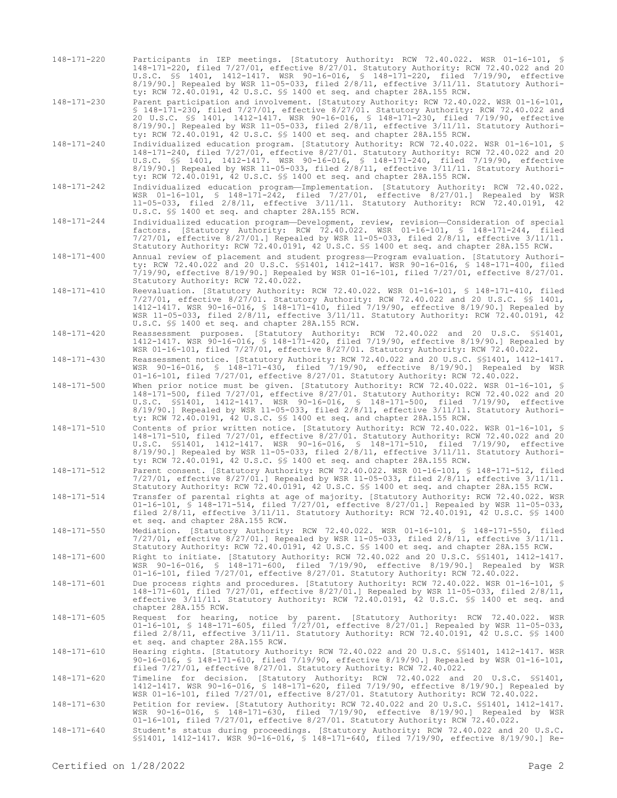148-171-220 Participants in IEP meetings. [Statutory Authority: RCW 72.40.022. WSR 01-16-101, § 148-171-220, filed 7/27/01, effective 8/27/01. Statutory Authority: RCW 72.40.022 and 20 U.S.C. §§ 1401, 1412-1417. WSR 90-16-016, § 148-171-220, filed 7/19/90, effective 8/19/90.] Repealed by WSR 11-05-033, filed 2/8/11, effective 3/11/11. Statutory Authority: RCW 72.40.0191, 42 U.S.C. §§ 1400 et seq. and chapter 28A.155 RCW.

148-171-230 Parent participation and involvement. [Statutory Authority: RCW 72.40.022. WSR 01-16-101, § 148-171-230, filed 7/27/01, effective 8/27/01. Statutory Authority: RCW 72.40.022 and 20 U.S.C. §§ 1401, 1412-1417. WSR 90-16-016, § 148-171-230, filed 7/19/90, effective 8/19/90.] Repealed by WSR 11-05-033, filed 2/8/11, effective 3/11/11. Statutory Authority: RCW 72.40.0191, 42 U.S.C. §§ 1400 et seq. and chapter 28A.155 RCW.

- 148-171-240 Individualized education program. [Statutory Authority: RCW 72.40.022. WSR 01-16-101, § 148-171-240, filed 7/27/01, effective 8/27/01. Statutory Authority: RCW 72.40.022 and 20 U.S.C. §§ 1401, 1412-1417. WSR 90-16-016, § 148-171-240, filed 7/19/90, effective 8/19/90.] Repealed by WSR 11-05-033, filed 2/8/11, effective 3/11/11. Statutory Authority: RCW 72.40.0191, 42 U.S.C. §§ 1400 et seq. and chapter 28A.155 RCW.
- 148-171-242 Individualized education program—Implementation. [Statutory Authority: RCW 72.40.022. WSR 01-16-101, § 148-171-242, filed 7/27/01, effective 8/27/01.] Repealed by WSR 11-05-033, filed 2/8/11, effective 3/11/11. Statutory Authority: RCW 72.40.0191, 42 U.S.C. §§ 1400 et seq. and chapter 28A.155 RCW.

148-171-244 Individualized education program—Development, review, revision—Consideration of special factors. [Statutory Authority: RCW 72.40.022. WSR 01-16-101, § 148-171-244, filed 7/27/01, effective 8/27/01.] Repealed by WSR 11-05-033, filed 2/8/11, effective 3/11/11. Statutory Authority: RCW 72.40.0191, 42 U.S.C. §§ 1400 et seq. and chapter 28A.155 RCW.

148-171-400 Annual review of placement and student progress—Program evaluation. [Statutory Authority: RCW 72.40.022 and 20 U.S.C. §§1401, 1412-1417. WSR 90-16-016, § 148-171-400, filed 7/19/90, effective 8/19/90.] Repealed by WSR 01-16-101, filed 7/27/01, effective 8/27/01. Statutory Authority: RCW 72.40.022.

- 148-171-410 Reevaluation. [Statutory Authority: RCW 72.40.022. WSR 01-16-101, § 148-171-410, filed 7/27/01, effective 8/27/01. Statutory Authority: RCW 72.40.022 and 20 U.S.C. §§ 1401, 1412-1417. WSR 90-16-016, § 148-171-410, filed 7/19/90, effective 8/19/90.] Repealed by WSR 11-05-033, filed 2/8/11, effective 3/11/11. Statutory Authority: RCW 72.40.0191, 42 U.S.C. §§ 1400 et seq. and chapter 28A.155 RCW.
- 148-171-420 Reassessment purposes. [Statutory Authority: RCW 72.40.022 and 20 U.S.C. §§1401, 1412-1417. WSR 90-16-016, § 148-171-420, filed 7/19/90, effective 8/19/90.] Repealed by WSR 01-16-101, filed 7/27/01, effective 8/27/01. Statutory Authority: RCW 72.40.022.

148-171-430 Reassessment notice. [Statutory Authority: RCW 72.40.022 and 20 U.S.C. §§1401, 1412-1417. WSR 90-16-016, § 148-171-430, filed 7/19/90, effective 8/19/90.] Repealed by WSR 01-16-101, filed 7/27/01, effective 8/27/01. Statutory Authority: RCW 72.40.022.

- 148-171-500 When prior notice must be given. [Statutory Authority: RCW 72.40.022. WSR 01-16-101, § 148-171-500, filed 7/27/01, effective 8/27/01. Statutory Authority: RCW 72.40.022 and 20 U.S.C. §§1401, 1412-1417. WSR 90-16-016, § 148-171-500, filed 7/19/90, effective 8/19/90.] Repealed by WSR 11-05-033, filed 2/8/11, effective 3/11/11. Statutory Authority: RCW 72.40.0191, 42 U.S.C. §§ 1400 et seq. and chapter 28A.155 RCW.
- 148-171-510 Contents of prior written notice. [Statutory Authority: RCW 72.40.022. WSR 01-16-101, § 148-171-510, filed 7/27/01, effective 8/27/01. Statutory Authority: RCW 72.40.022 and 20 U.S.C. §§1401, 1412-1417. WSR 90-16-016, § 148-171-510, filed 7/19/90, effective 8/19/90.] Repealed by WSR 11-05-033, filed 2/8/11, effective 3/11/11. Statutory Authority: RCW 72.40.0191, 42 U.S.C. §§ 1400 et seq. and chapter 28A.155 RCW.
- 148-171-512 Parent consent. [Statutory Authority: RCW 72.40.022. WSR 01-16-101, § 148-171-512, filed 7/27/01, effective 8/27/01.] Repealed by WSR 11-05-033, filed 2/8/11, effective 3/11/11. Statutory Authority: RCW 72.40.0191, 42 U.S.C. §§ 1400 et seq. and chapter 28A.155 RCW.
- 148-171-514 Transfer of parental rights at age of majority. [Statutory Authority: RCW 72.40.022. WSR 01-16-101, § 148-171-514, filed 7/27/01, effective 8/27/01.] Repealed by WSR 11-05-033, filed 2/8/11, effective 3/11/11. Statutory Authority: RCW 72.40.0191, 42 U.S.C. §§ 1400 et seq. and chapter 28A.155 RCW.
- 148-171-550 Mediation. [Statutory Authority: RCW 72.40.022. WSR 01-16-101, § 148-171-550, filed 7/27/01, effective 8/27/01.] Repealed by WSR 11-05-033, filed 2/8/11, effective 3/11/11. Statutory Authority: RCW 72.40.0191, 42 U.S.C. §§ 1400 et seq. and chapter 28A.155 RCW.

148-171-600 Right to initiate. [Statutory Authority: RCW 72.40.022 and 20 U.S.C. §§1401, 1412-1417. WSR 90-16-016, § 148-171-600, filed 7/19/90, effective 8/19/90.] Repealed by WSR 01-16-101, filed 7/27/01, effective 8/27/01. Statutory Authority: RCW 72.40.022.

- 148-171-601 Due process rights and procedures. [Statutory Authority: RCW 72.40.022. WSR 01-16-101, § 148-171-601, filed 7/27/01, effective 8/27/01.] Repealed by WSR 11-05-033, filed 2/8/11, effective 3/11/11. Statutory Authority: RCW 72.40.0191, 42 U.S.C. §§ 1400 et seq. and chapter 28A.155 RCW.
- 148-171-605 Request for hearing, notice by parent. [Statutory Authority: RCW 72.40.022. WSR 01-16-101, § 148-171-605, filed 7/27/01, effective 8/27/01.] Repealed by WSR 11-05-033, filed 2/8/11, effective 3/11/11. Statutory Authority: RCW 72.40.0191, 42 U.S.C. §§ 1400 et seq. and chapter 28A.155 RCW.

148-171-610 Hearing rights. [Statutory Authority: RCW 72.40.022 and 20 U.S.C. §§1401, 1412-1417. WSR 90-16-016, § 148-171-610, filed 7/19/90, effective 8/19/90.] Repealed by WSR 01-16-101, filed 7/27/01, effective 8/27/01. Statutory Authority: RCW 72.40.022.

- 148-171-620 Timeline for decision. [Statutory Authority: RCW 72.40.022 and 20 U.S.C. §§1401, 1412-1417. WSR 90-16-016, § 148-171-620, filed 7/19/90, effective 8/19/90.] Repealed by WSR 01-16-101, filed 7/27/01, effective 8/27/01. Statutory Authority: RCW 72.40.022.
- 148-171-630 Petition for review. [Statutory Authority: RCW 72.40.022 and 20 U.S.C. §§1401, 1412-1417. WSR 90-16-016, § 148-171-630, filed 7/19/90, effective 8/19/90.] Repealed by WSR 01-16-101, filed 7/27/01, effective 8/27/01. Statutory Authority: RCW 72.40.022.
- 148-171-640 Student's status during proceedings. [Statutory Authority: RCW 72.40.022 and 20 U.S.C. §§1401, 1412-1417. WSR 90-16-016, § 148-171-640, filed 7/19/90, effective 8/19/90.] Re-